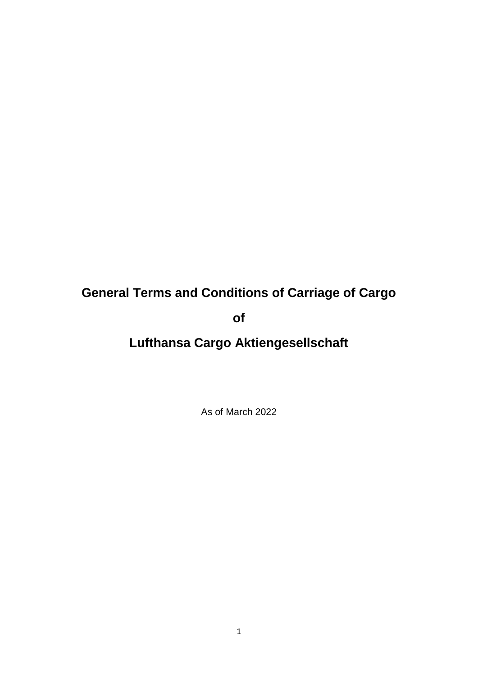# **General Terms and Conditions of Carriage of Cargo**

**of**

# **Lufthansa Cargo Aktiengesellschaft**

As of March 2022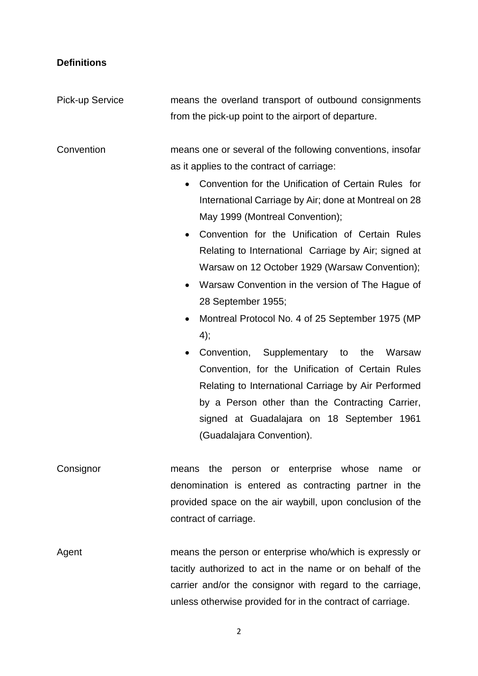# **Definitions**

| <b>Pick-up Service</b> | means the overland transport of outbound consignments                                                                                                                                                                                                                                                                                                                                                                                                                                                                                                                                                                                                                                                                                                                                                                                                                                                                    |
|------------------------|--------------------------------------------------------------------------------------------------------------------------------------------------------------------------------------------------------------------------------------------------------------------------------------------------------------------------------------------------------------------------------------------------------------------------------------------------------------------------------------------------------------------------------------------------------------------------------------------------------------------------------------------------------------------------------------------------------------------------------------------------------------------------------------------------------------------------------------------------------------------------------------------------------------------------|
|                        | from the pick-up point to the airport of departure.                                                                                                                                                                                                                                                                                                                                                                                                                                                                                                                                                                                                                                                                                                                                                                                                                                                                      |
| Convention             | means one or several of the following conventions, insofar<br>as it applies to the contract of carriage:<br>Convention for the Unification of Certain Rules for<br>$\bullet$<br>International Carriage by Air; done at Montreal on 28<br>May 1999 (Montreal Convention);<br>Convention for the Unification of Certain Rules<br>$\bullet$<br>Relating to International Carriage by Air; signed at<br>Warsaw on 12 October 1929 (Warsaw Convention);<br>Warsaw Convention in the version of The Hague of<br>$\bullet$<br>28 September 1955;<br>Montreal Protocol No. 4 of 25 September 1975 (MP<br>$\bullet$<br>4);<br>Convention, Supplementary to<br>the<br>Warsaw<br>$\bullet$<br>Convention, for the Unification of Certain Rules<br>Relating to International Carriage by Air Performed<br>by a Person other than the Contracting Carrier,<br>signed at Guadalajara on 18 September 1961<br>(Guadalajara Convention). |
| Consignor              | means the person or enterprise whose name<br>or<br>denomination is entered as contracting partner in the<br>provided space on the air waybill, upon conclusion of the<br>contract of carriage.                                                                                                                                                                                                                                                                                                                                                                                                                                                                                                                                                                                                                                                                                                                           |
| Agent                  | means the person or enterprise who/which is expressly or<br>tacitly authorized to act in the name or on behalf of the                                                                                                                                                                                                                                                                                                                                                                                                                                                                                                                                                                                                                                                                                                                                                                                                    |

2

carrier and/or the consignor with regard to the carriage,

unless otherwise provided for in the contract of carriage.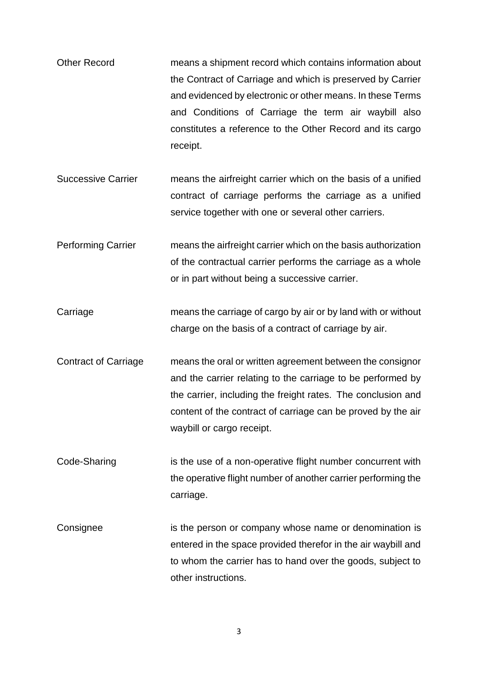Other Record means a shipment record which contains information about the Contract of Carriage and which is preserved by Carrier and evidenced by electronic or other means. In these Terms and Conditions of Carriage the term air waybill also constitutes a reference to the Other Record and its cargo receipt.

- Successive Carrier means the airfreight carrier which on the basis of a unified contract of carriage performs the carriage as a unified service together with one or several other carriers.
- Performing Carrier means the airfreight carrier which on the basis authorization of the contractual carrier performs the carriage as a whole or in part without being a successive carrier.
- Carriage means the carriage of cargo by air or by land with or without charge on the basis of a contract of carriage by air.
- Contract of Carriage means the oral or written agreement between the consignor and the carrier relating to the carriage to be performed by the carrier, including the freight rates. The conclusion and content of the contract of carriage can be proved by the air waybill or cargo receipt.
- Code-Sharing is the use of a non-operative flight number concurrent with the operative flight number of another carrier performing the carriage.
- Consignee is the person or company whose name or denomination is entered in the space provided therefor in the air waybill and to whom the carrier has to hand over the goods, subject to other instructions.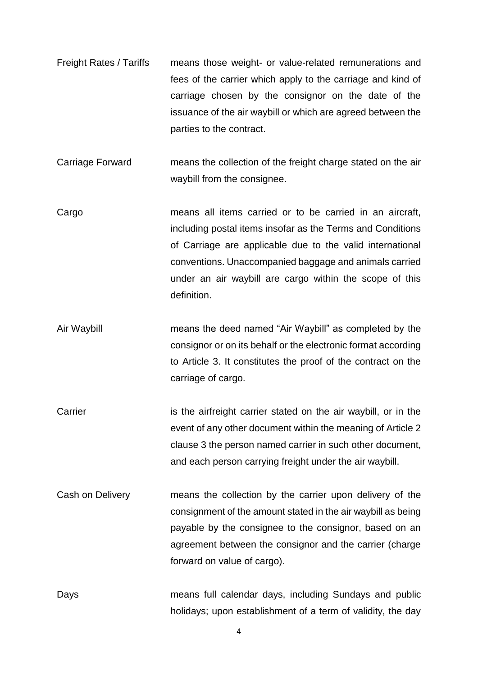Freight Rates / Tariffs means those weight- or value-related remunerations and fees of the carrier which apply to the carriage and kind of carriage chosen by the consignor on the date of the issuance of the air waybill or which are agreed between the parties to the contract.

Carriage Forward means the collection of the freight charge stated on the air waybill from the consignee.

- Cargo means all items carried or to be carried in an aircraft, including postal items insofar as the Terms and Conditions of Carriage are applicable due to the valid international conventions. Unaccompanied baggage and animals carried under an air waybill are cargo within the scope of this definition.
- Air Waybill means the deed named "Air Waybill" as completed by the consignor or on its behalf or the electronic format according to Article 3. It constitutes the proof of the contract on the carriage of cargo.
- Carrier is the airfreight carrier stated on the air waybill, or in the event of any other document within the meaning of Article 2 clause 3 the person named carrier in such other document, and each person carrying freight under the air waybill.
- Cash on Delivery means the collection by the carrier upon delivery of the consignment of the amount stated in the air waybill as being payable by the consignee to the consignor, based on an agreement between the consignor and the carrier (charge forward on value of cargo).

Days means full calendar days, including Sundays and public holidays; upon establishment of a term of validity, the day

4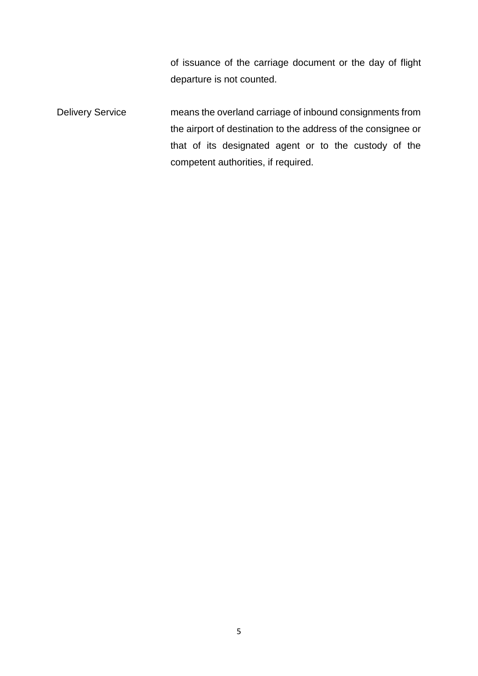of issuance of the carriage document or the day of flight departure is not counted.

Delivery Service means the overland carriage of inbound consignments from the airport of destination to the address of the consignee or that of its designated agent or to the custody of the competent authorities, if required.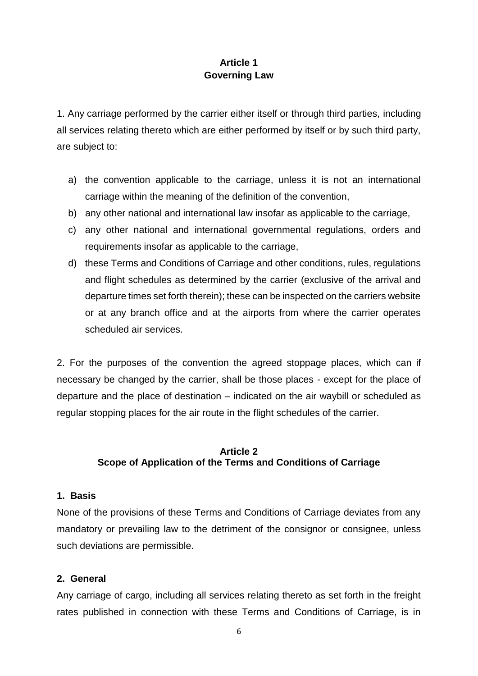# **Article 1 Governing Law**

1. Any carriage performed by the carrier either itself or through third parties, including all services relating thereto which are either performed by itself or by such third party, are subject to:

- a) the convention applicable to the carriage, unless it is not an international carriage within the meaning of the definition of the convention,
- b) any other national and international law insofar as applicable to the carriage,
- c) any other national and international governmental regulations, orders and requirements insofar as applicable to the carriage,
- d) these Terms and Conditions of Carriage and other conditions, rules, regulations and flight schedules as determined by the carrier (exclusive of the arrival and departure times set forth therein); these can be inspected on the carriers website or at any branch office and at the airports from where the carrier operates scheduled air services.

2. For the purposes of the convention the agreed stoppage places, which can if necessary be changed by the carrier, shall be those places - except for the place of departure and the place of destination – indicated on the air waybill or scheduled as regular stopping places for the air route in the flight schedules of the carrier.

# **Article 2 Scope of Application of the Terms and Conditions of Carriage**

#### **1. Basis**

None of the provisions of these Terms and Conditions of Carriage deviates from any mandatory or prevailing law to the detriment of the consignor or consignee, unless such deviations are permissible.

# **2. General**

Any carriage of cargo, including all services relating thereto as set forth in the freight rates published in connection with these Terms and Conditions of Carriage, is in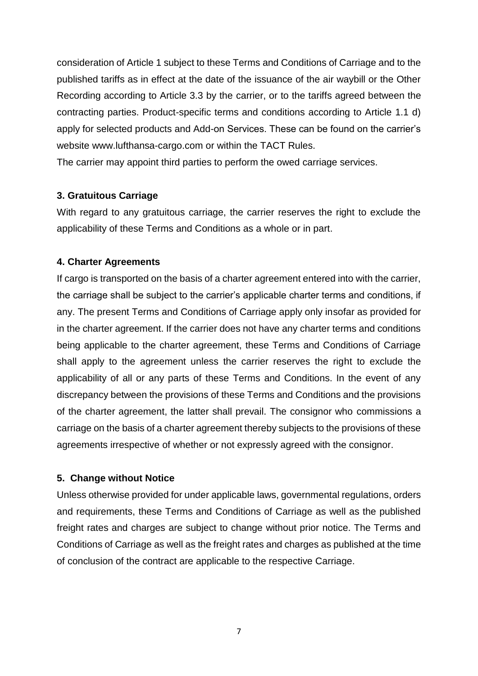consideration of Article 1 subject to these Terms and Conditions of Carriage and to the published tariffs as in effect at the date of the issuance of the air waybill or the Other Recording according to Article 3.3 by the carrier, or to the tariffs agreed between the contracting parties. Product-specific terms and conditions according to Article 1.1 d) apply for selected products and Add-on Services. These can be found on the carrier's website www.lufthansa-cargo.com or within the TACT Rules.

The carrier may appoint third parties to perform the owed carriage services.

# **3. Gratuitous Carriage**

With regard to any gratuitous carriage, the carrier reserves the right to exclude the applicability of these Terms and Conditions as a whole or in part.

# **4. Charter Agreements**

If cargo is transported on the basis of a charter agreement entered into with the carrier, the carriage shall be subject to the carrier's applicable charter terms and conditions, if any. The present Terms and Conditions of Carriage apply only insofar as provided for in the charter agreement. If the carrier does not have any charter terms and conditions being applicable to the charter agreement, these Terms and Conditions of Carriage shall apply to the agreement unless the carrier reserves the right to exclude the applicability of all or any parts of these Terms and Conditions. In the event of any discrepancy between the provisions of these Terms and Conditions and the provisions of the charter agreement, the latter shall prevail. The consignor who commissions a carriage on the basis of a charter agreement thereby subjects to the provisions of these agreements irrespective of whether or not expressly agreed with the consignor.

# **5. Change without Notice**

Unless otherwise provided for under applicable laws, governmental regulations, orders and requirements, these Terms and Conditions of Carriage as well as the published freight rates and charges are subject to change without prior notice. The Terms and Conditions of Carriage as well as the freight rates and charges as published at the time of conclusion of the contract are applicable to the respective Carriage.

7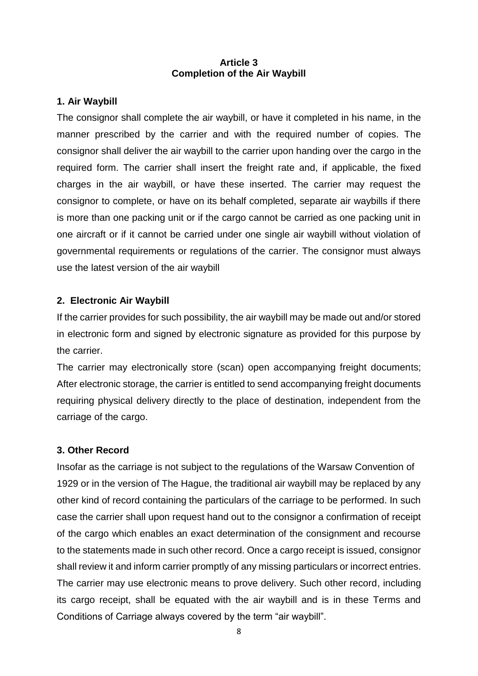#### **Article 3 Completion of the Air Waybill**

#### **1. Air Waybill**

The consignor shall complete the air waybill, or have it completed in his name, in the manner prescribed by the carrier and with the required number of copies. The consignor shall deliver the air waybill to the carrier upon handing over the cargo in the required form. The carrier shall insert the freight rate and, if applicable, the fixed charges in the air waybill, or have these inserted. The carrier may request the consignor to complete, or have on its behalf completed, separate air waybills if there is more than one packing unit or if the cargo cannot be carried as one packing unit in one aircraft or if it cannot be carried under one single air waybill without violation of governmental requirements or regulations of the carrier. The consignor must always use the latest version of the air waybill

#### **2. Electronic Air Waybill**

If the carrier provides for such possibility, the air waybill may be made out and/or stored in electronic form and signed by electronic signature as provided for this purpose by the carrier.

The carrier may electronically store (scan) open accompanying freight documents; After electronic storage, the carrier is entitled to send accompanying freight documents requiring physical delivery directly to the place of destination, independent from the carriage of the cargo.

# **3. Other Record**

Insofar as the carriage is not subject to the regulations of the Warsaw Convention of 1929 or in the version of The Hague, the traditional air waybill may be replaced by any other kind of record containing the particulars of the carriage to be performed. In such case the carrier shall upon request hand out to the consignor a confirmation of receipt of the cargo which enables an exact determination of the consignment and recourse to the statements made in such other record. Once a cargo receipt is issued, consignor shall review it and inform carrier promptly of any missing particulars or incorrect entries. The carrier may use electronic means to prove delivery. Such other record, including its cargo receipt, shall be equated with the air waybill and is in these Terms and Conditions of Carriage always covered by the term "air waybill".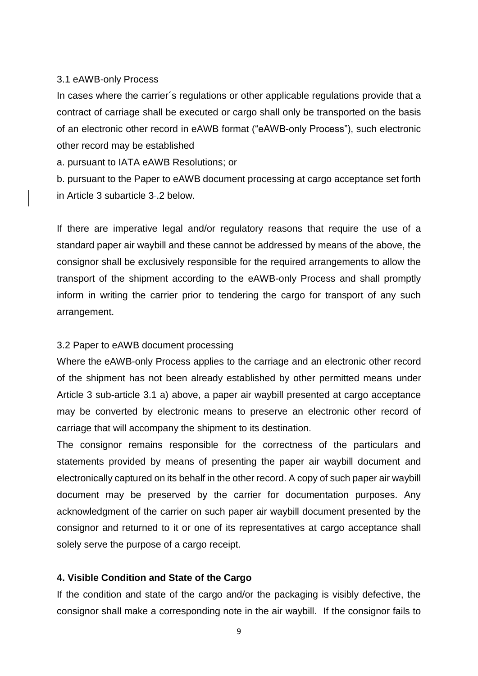#### 3.1 eAWB-only Process

In cases where the carrier's regulations or other applicable regulations provide that a contract of carriage shall be executed or cargo shall only be transported on the basis of an electronic other record in eAWB format ("eAWB-only Process"), such electronic other record may be established

a. pursuant to IATA eAWB Resolutions; or

b. pursuant to the Paper to eAWB document processing at cargo acceptance set forth in Article 3 subarticle 3 .2 below.

If there are imperative legal and/or regulatory reasons that require the use of a standard paper air waybill and these cannot be addressed by means of the above, the consignor shall be exclusively responsible for the required arrangements to allow the transport of the shipment according to the eAWB-only Process and shall promptly inform in writing the carrier prior to tendering the cargo for transport of any such arrangement.

#### 3.2 Paper to eAWB document processing

Where the eAWB-only Process applies to the carriage and an electronic other record of the shipment has not been already established by other permitted means under Article 3 sub-article 3.1 a) above, a paper air waybill presented at cargo acceptance may be converted by electronic means to preserve an electronic other record of carriage that will accompany the shipment to its destination.

The consignor remains responsible for the correctness of the particulars and statements provided by means of presenting the paper air waybill document and electronically captured on its behalf in the other record. A copy of such paper air waybill document may be preserved by the carrier for documentation purposes. Any acknowledgment of the carrier on such paper air waybill document presented by the consignor and returned to it or one of its representatives at cargo acceptance shall solely serve the purpose of a cargo receipt.

#### **4. Visible Condition and State of the Cargo**

If the condition and state of the cargo and/or the packaging is visibly defective, the consignor shall make a corresponding note in the air waybill. If the consignor fails to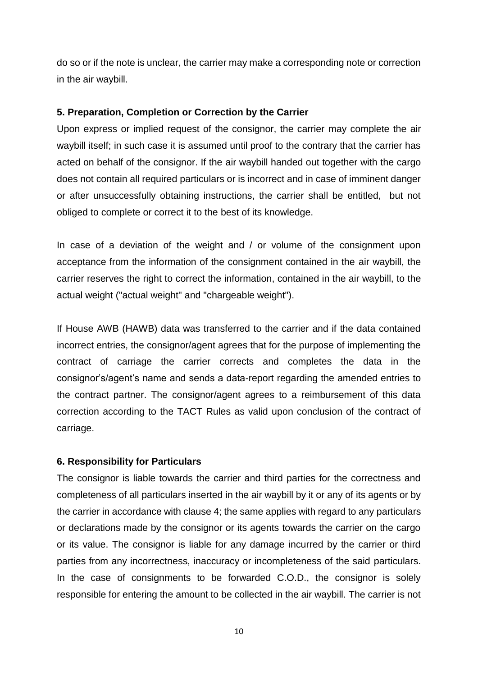do so or if the note is unclear, the carrier may make a corresponding note or correction in the air waybill.

# **5. Preparation, Completion or Correction by the Carrier**

Upon express or implied request of the consignor, the carrier may complete the air waybill itself; in such case it is assumed until proof to the contrary that the carrier has acted on behalf of the consignor. If the air waybill handed out together with the cargo does not contain all required particulars or is incorrect and in case of imminent danger or after unsuccessfully obtaining instructions, the carrier shall be entitled, but not obliged to complete or correct it to the best of its knowledge.

In case of a deviation of the weight and / or volume of the consignment upon acceptance from the information of the consignment contained in the air waybill, the carrier reserves the right to correct the information, contained in the air waybill, to the actual weight ("actual weight" and "chargeable weight").

If House AWB (HAWB) data was transferred to the carrier and if the data contained incorrect entries, the consignor/agent agrees that for the purpose of implementing the contract of carriage the carrier corrects and completes the data in the consignor's/agent's name and sends a data-report regarding the amended entries to the contract partner. The consignor/agent agrees to a reimbursement of this data correction according to the TACT Rules as valid upon conclusion of the contract of carriage.

#### **6. Responsibility for Particulars**

The consignor is liable towards the carrier and third parties for the correctness and completeness of all particulars inserted in the air waybill by it or any of its agents or by the carrier in accordance with clause 4; the same applies with regard to any particulars or declarations made by the consignor or its agents towards the carrier on the cargo or its value. The consignor is liable for any damage incurred by the carrier or third parties from any incorrectness, inaccuracy or incompleteness of the said particulars. In the case of consignments to be forwarded C.O.D., the consignor is solely responsible for entering the amount to be collected in the air waybill. The carrier is not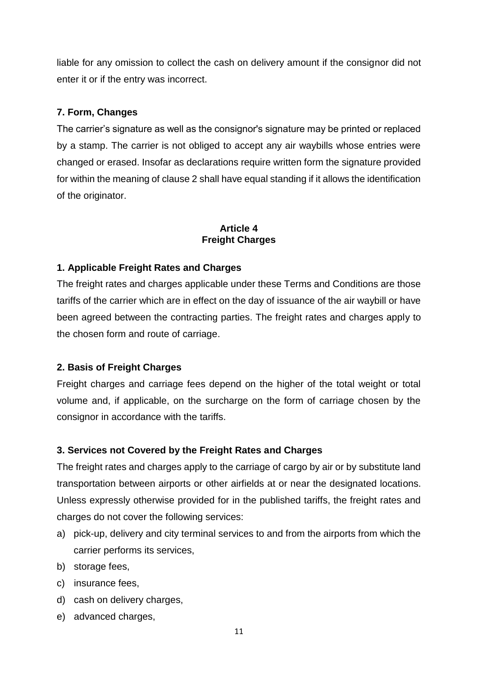liable for any omission to collect the cash on delivery amount if the consignor did not enter it or if the entry was incorrect.

# **7. Form, Changes**

The carrier's signature as well as the consignor's signature may be printed or replaced by a stamp. The carrier is not obliged to accept any air waybills whose entries were changed or erased. Insofar as declarations require written form the signature provided for within the meaning of clause 2 shall have equal standing if it allows the identification of the originator.

# **Article 4 Freight Charges**

# **1. Applicable Freight Rates and Charges**

The freight rates and charges applicable under these Terms and Conditions are those tariffs of the carrier which are in effect on the day of issuance of the air waybill or have been agreed between the contracting parties. The freight rates and charges apply to the chosen form and route of carriage.

# **2. Basis of Freight Charges**

Freight charges and carriage fees depend on the higher of the total weight or total volume and, if applicable, on the surcharge on the form of carriage chosen by the consignor in accordance with the tariffs.

# **3. Services not Covered by the Freight Rates and Charges**

The freight rates and charges apply to the carriage of cargo by air or by substitute land transportation between airports or other airfields at or near the designated locations. Unless expressly otherwise provided for in the published tariffs, the freight rates and charges do not cover the following services:

- a) pick-up, delivery and city terminal services to and from the airports from which the carrier performs its services,
- b) storage fees,
- c) insurance fees,
- d) cash on delivery charges,
- e) advanced charges,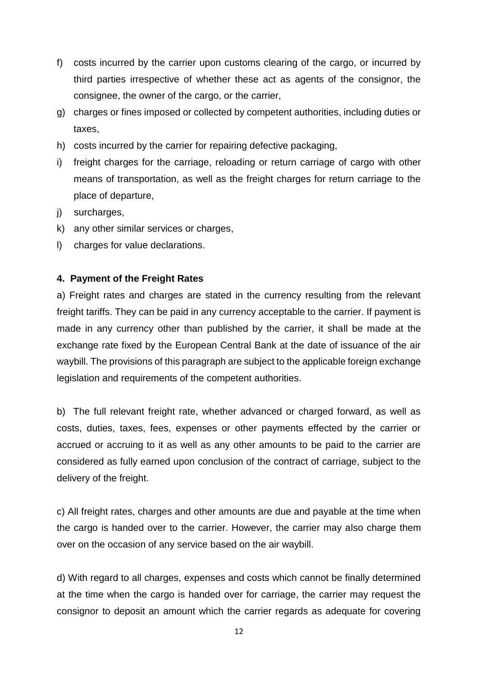- f) costs incurred by the carrier upon customs clearing of the cargo, or incurred by third parties irrespective of whether these act as agents of the consignor, the consignee, the owner of the cargo, or the carrier,
- g) charges or fines imposed or collected by competent authorities, including duties or taxes,
- h) costs incurred by the carrier for repairing defective packaging,
- i) freight charges for the carriage, reloading or return carriage of cargo with other means of transportation, as well as the freight charges for return carriage to the place of departure,
- j) surcharges,
- k) any other similar services or charges,
- l) charges for value declarations.

#### **4. Payment of the Freight Rates**

a) Freight rates and charges are stated in the currency resulting from the relevant freight tariffs. They can be paid in any currency acceptable to the carrier. If payment is made in any currency other than published by the carrier, it shall be made at the exchange rate fixed by the European Central Bank at the date of issuance of the air waybill. The provisions of this paragraph are subject to the applicable foreign exchange legislation and requirements of the competent authorities.

b) The full relevant freight rate, whether advanced or charged forward, as well as costs, duties, taxes, fees, expenses or other payments effected by the carrier or accrued or accruing to it as well as any other amounts to be paid to the carrier are considered as fully earned upon conclusion of the contract of carriage, subject to the delivery of the freight.

c) All freight rates, charges and other amounts are due and payable at the time when the cargo is handed over to the carrier. However, the carrier may also charge them over on the occasion of any service based on the air waybill.

d) With regard to all charges, expenses and costs which cannot be finally determined at the time when the cargo is handed over for carriage, the carrier may request the consignor to deposit an amount which the carrier regards as adequate for covering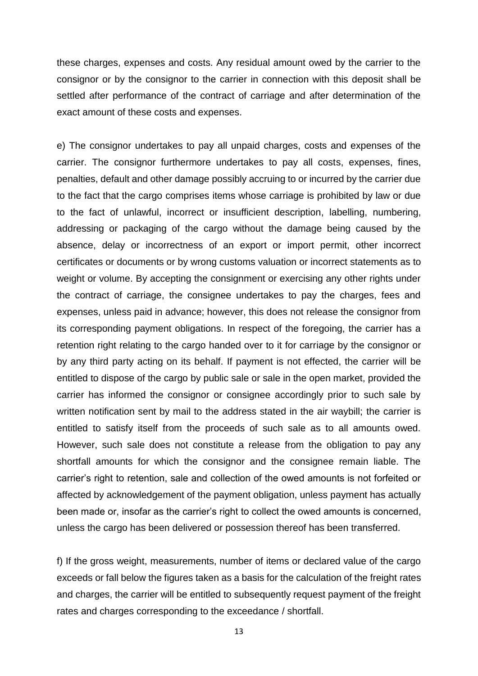these charges, expenses and costs. Any residual amount owed by the carrier to the consignor or by the consignor to the carrier in connection with this deposit shall be settled after performance of the contract of carriage and after determination of the exact amount of these costs and expenses.

e) The consignor undertakes to pay all unpaid charges, costs and expenses of the carrier. The consignor furthermore undertakes to pay all costs, expenses, fines, penalties, default and other damage possibly accruing to or incurred by the carrier due to the fact that the cargo comprises items whose carriage is prohibited by law or due to the fact of unlawful, incorrect or insufficient description, labelling, numbering, addressing or packaging of the cargo without the damage being caused by the absence, delay or incorrectness of an export or import permit, other incorrect certificates or documents or by wrong customs valuation or incorrect statements as to weight or volume. By accepting the consignment or exercising any other rights under the contract of carriage, the consignee undertakes to pay the charges, fees and expenses, unless paid in advance; however, this does not release the consignor from its corresponding payment obligations. In respect of the foregoing, the carrier has a retention right relating to the cargo handed over to it for carriage by the consignor or by any third party acting on its behalf. If payment is not effected, the carrier will be entitled to dispose of the cargo by public sale or sale in the open market, provided the carrier has informed the consignor or consignee accordingly prior to such sale by written notification sent by mail to the address stated in the air waybill; the carrier is entitled to satisfy itself from the proceeds of such sale as to all amounts owed. However, such sale does not constitute a release from the obligation to pay any shortfall amounts for which the consignor and the consignee remain liable. The carrier's right to retention, sale and collection of the owed amounts is not forfeited or affected by acknowledgement of the payment obligation, unless payment has actually been made or, insofar as the carrier's right to collect the owed amounts is concerned, unless the cargo has been delivered or possession thereof has been transferred.

f) If the gross weight, measurements, number of items or declared value of the cargo exceeds or fall below the figures taken as a basis for the calculation of the freight rates and charges, the carrier will be entitled to subsequently request payment of the freight rates and charges corresponding to the exceedance / shortfall.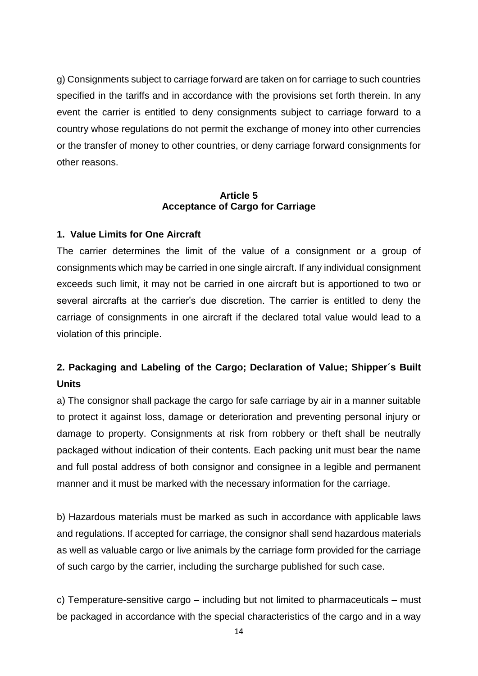g) Consignments subject to carriage forward are taken on for carriage to such countries specified in the tariffs and in accordance with the provisions set forth therein. In any event the carrier is entitled to deny consignments subject to carriage forward to a country whose regulations do not permit the exchange of money into other currencies or the transfer of money to other countries, or deny carriage forward consignments for other reasons.

# **Article 5 Acceptance of Cargo for Carriage**

#### **1. Value Limits for One Aircraft**

The carrier determines the limit of the value of a consignment or a group of consignments which may be carried in one single aircraft. If any individual consignment exceeds such limit, it may not be carried in one aircraft but is apportioned to two or several aircrafts at the carrier's due discretion. The carrier is entitled to deny the carriage of consignments in one aircraft if the declared total value would lead to a violation of this principle.

# **2. Packaging and Labeling of the Cargo; Declaration of Value; Shipper´s Built Units**

a) The consignor shall package the cargo for safe carriage by air in a manner suitable to protect it against loss, damage or deterioration and preventing personal injury or damage to property. Consignments at risk from robbery or theft shall be neutrally packaged without indication of their contents. Each packing unit must bear the name and full postal address of both consignor and consignee in a legible and permanent manner and it must be marked with the necessary information for the carriage.

b) Hazardous materials must be marked as such in accordance with applicable laws and regulations. If accepted for carriage, the consignor shall send hazardous materials as well as valuable cargo or live animals by the carriage form provided for the carriage of such cargo by the carrier, including the surcharge published for such case.

c) Temperature-sensitive cargo – including but not limited to pharmaceuticals – must be packaged in accordance with the special characteristics of the cargo and in a way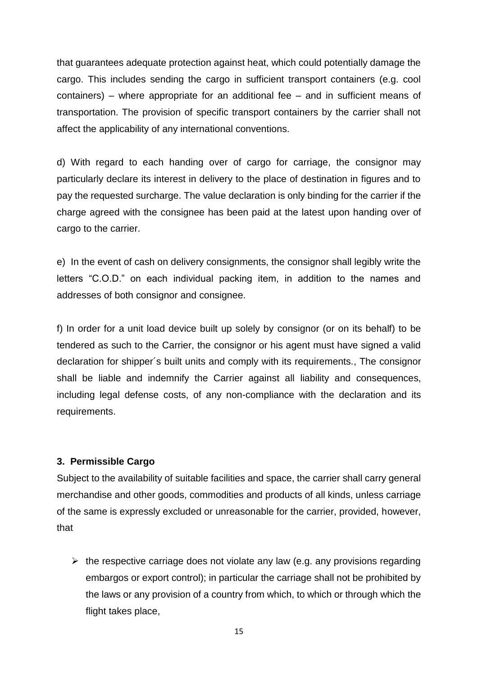that guarantees adequate protection against heat, which could potentially damage the cargo. This includes sending the cargo in sufficient transport containers (e.g. cool containers) – where appropriate for an additional fee – and in sufficient means of transportation. The provision of specific transport containers by the carrier shall not affect the applicability of any international conventions.

d) With regard to each handing over of cargo for carriage, the consignor may particularly declare its interest in delivery to the place of destination in figures and to pay the requested surcharge. The value declaration is only binding for the carrier if the charge agreed with the consignee has been paid at the latest upon handing over of cargo to the carrier.

e) In the event of cash on delivery consignments, the consignor shall legibly write the letters "C.O.D." on each individual packing item, in addition to the names and addresses of both consignor and consignee.

f) In order for a unit load device built up solely by consignor (or on its behalf) to be tendered as such to the Carrier, the consignor or his agent must have signed a valid declaration for shipper´s built units and comply with its requirements., The consignor shall be liable and indemnify the Carrier against all liability and consequences, including legal defense costs, of any non-compliance with the declaration and its requirements.

#### **3. Permissible Cargo**

Subject to the availability of suitable facilities and space, the carrier shall carry general merchandise and other goods, commodities and products of all kinds, unless carriage of the same is expressly excluded or unreasonable for the carrier, provided, however, that

 $\triangleright$  the respective carriage does not violate any law (e.g. any provisions regarding embargos or export control); in particular the carriage shall not be prohibited by the laws or any provision of a country from which, to which or through which the flight takes place,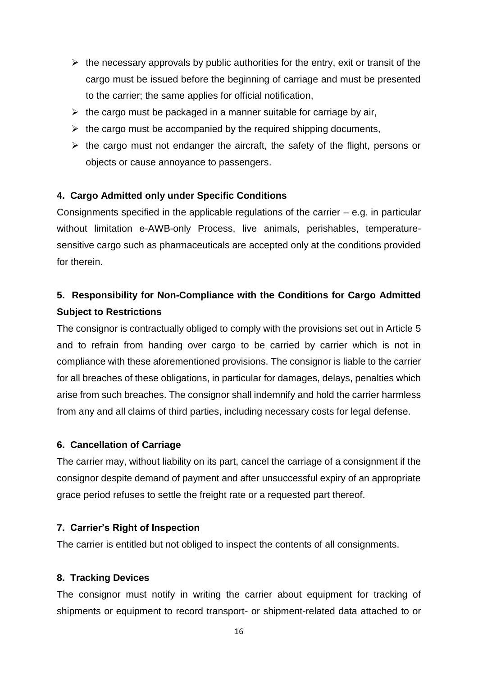- $\triangleright$  the necessary approvals by public authorities for the entry, exit or transit of the cargo must be issued before the beginning of carriage and must be presented to the carrier; the same applies for official notification,
- $\triangleright$  the cargo must be packaged in a manner suitable for carriage by air,
- $\triangleright$  the cargo must be accompanied by the required shipping documents,
- $\triangleright$  the cargo must not endanger the aircraft, the safety of the flight, persons or objects or cause annoyance to passengers.

#### **4. Cargo Admitted only under Specific Conditions**

Consignments specified in the applicable regulations of the carrier – e.g. in particular without limitation e-AWB-only Process, live animals, perishables, temperaturesensitive cargo such as pharmaceuticals are accepted only at the conditions provided for therein.

# **5. Responsibility for Non-Compliance with the Conditions for Cargo Admitted Subject to Restrictions**

The consignor is contractually obliged to comply with the provisions set out in Article 5 and to refrain from handing over cargo to be carried by carrier which is not in compliance with these aforementioned provisions. The consignor is liable to the carrier for all breaches of these obligations, in particular for damages, delays, penalties which arise from such breaches. The consignor shall indemnify and hold the carrier harmless from any and all claims of third parties, including necessary costs for legal defense.

#### **6. Cancellation of Carriage**

The carrier may, without liability on its part, cancel the carriage of a consignment if the consignor despite demand of payment and after unsuccessful expiry of an appropriate grace period refuses to settle the freight rate or a requested part thereof.

#### **7. Carrier's Right of Inspection**

The carrier is entitled but not obliged to inspect the contents of all consignments.

#### **8. Tracking Devices**

The consignor must notify in writing the carrier about equipment for tracking of shipments or equipment to record transport- or shipment-related data attached to or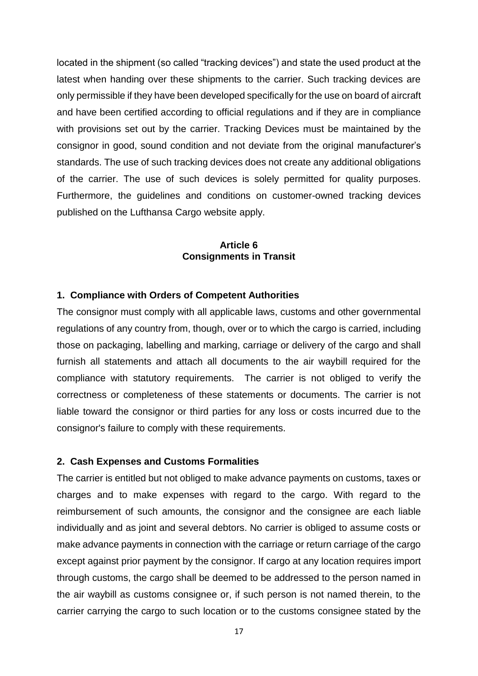located in the shipment (so called "tracking devices") and state the used product at the latest when handing over these shipments to the carrier. Such tracking devices are only permissible if they have been developed specifically for the use on board of aircraft and have been certified according to official regulations and if they are in compliance with provisions set out by the carrier. Tracking Devices must be maintained by the consignor in good, sound condition and not deviate from the original manufacturer's standards. The use of such tracking devices does not create any additional obligations of the carrier. The use of such devices is solely permitted for quality purposes. Furthermore, the guidelines and conditions on customer-owned tracking devices published on the Lufthansa Cargo website apply.

#### **Article 6 Consignments in Transit**

#### **1. Compliance with Orders of Competent Authorities**

The consignor must comply with all applicable laws, customs and other governmental regulations of any country from, though, over or to which the cargo is carried, including those on packaging, labelling and marking, carriage or delivery of the cargo and shall furnish all statements and attach all documents to the air waybill required for the compliance with statutory requirements. The carrier is not obliged to verify the correctness or completeness of these statements or documents. The carrier is not liable toward the consignor or third parties for any loss or costs incurred due to the consignor's failure to comply with these requirements.

#### **2. Cash Expenses and Customs Formalities**

The carrier is entitled but not obliged to make advance payments on customs, taxes or charges and to make expenses with regard to the cargo. With regard to the reimbursement of such amounts, the consignor and the consignee are each liable individually and as joint and several debtors. No carrier is obliged to assume costs or make advance payments in connection with the carriage or return carriage of the cargo except against prior payment by the consignor. If cargo at any location requires import through customs, the cargo shall be deemed to be addressed to the person named in the air waybill as customs consignee or, if such person is not named therein, to the carrier carrying the cargo to such location or to the customs consignee stated by the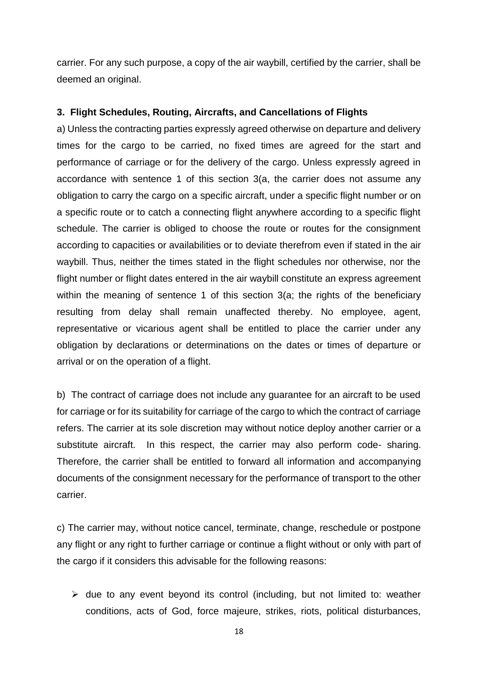carrier. For any such purpose, a copy of the air waybill, certified by the carrier, shall be deemed an original.

#### **3. Flight Schedules, Routing, Aircrafts, and Cancellations of Flights**

a) Unless the contracting parties expressly agreed otherwise on departure and delivery times for the cargo to be carried, no fixed times are agreed for the start and performance of carriage or for the delivery of the cargo. Unless expressly agreed in accordance with sentence 1 of this section 3(a, the carrier does not assume any obligation to carry the cargo on a specific aircraft, under a specific flight number or on a specific route or to catch a connecting flight anywhere according to a specific flight schedule. The carrier is obliged to choose the route or routes for the consignment according to capacities or availabilities or to deviate therefrom even if stated in the air waybill. Thus, neither the times stated in the flight schedules nor otherwise, nor the flight number or flight dates entered in the air waybill constitute an express agreement within the meaning of sentence 1 of this section 3(a; the rights of the beneficiary resulting from delay shall remain unaffected thereby. No employee, agent, representative or vicarious agent shall be entitled to place the carrier under any obligation by declarations or determinations on the dates or times of departure or arrival or on the operation of a flight.

b) The contract of carriage does not include any guarantee for an aircraft to be used for carriage or for its suitability for carriage of the cargo to which the contract of carriage refers. The carrier at its sole discretion may without notice deploy another carrier or a substitute aircraft. In this respect, the carrier may also perform code- sharing. Therefore, the carrier shall be entitled to forward all information and accompanying documents of the consignment necessary for the performance of transport to the other carrier.

c) The carrier may, without notice cancel, terminate, change, reschedule or postpone any flight or any right to further carriage or continue a flight without or only with part of the cargo if it considers this advisable for the following reasons:

 $\triangleright$  due to any event beyond its control (including, but not limited to: weather conditions, acts of God, force majeure, strikes, riots, political disturbances,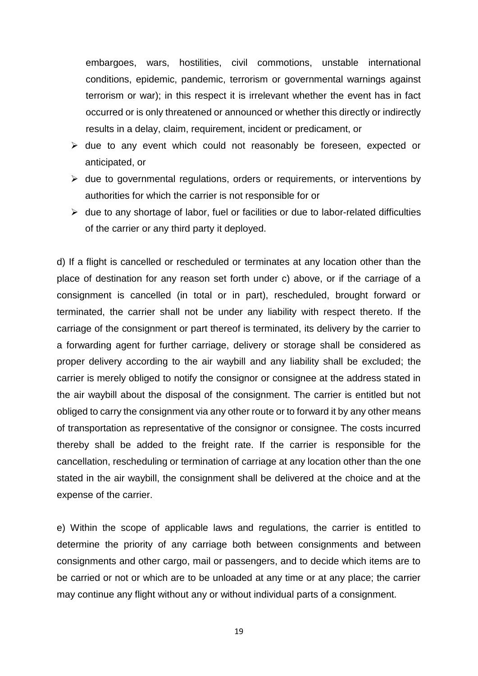embargoes, wars, hostilities, civil commotions, unstable international conditions, epidemic, pandemic, terrorism or governmental warnings against terrorism or war); in this respect it is irrelevant whether the event has in fact occurred or is only threatened or announced or whether this directly or indirectly results in a delay, claim, requirement, incident or predicament, or

- $\triangleright$  due to any event which could not reasonably be foreseen, expected or anticipated, or
- $\triangleright$  due to governmental regulations, orders or requirements, or interventions by authorities for which the carrier is not responsible for or
- $\triangleright$  due to any shortage of labor, fuel or facilities or due to labor-related difficulties of the carrier or any third party it deployed.

d) If a flight is cancelled or rescheduled or terminates at any location other than the place of destination for any reason set forth under c) above, or if the carriage of a consignment is cancelled (in total or in part), rescheduled, brought forward or terminated, the carrier shall not be under any liability with respect thereto. If the carriage of the consignment or part thereof is terminated, its delivery by the carrier to a forwarding agent for further carriage, delivery or storage shall be considered as proper delivery according to the air waybill and any liability shall be excluded; the carrier is merely obliged to notify the consignor or consignee at the address stated in the air waybill about the disposal of the consignment. The carrier is entitled but not obliged to carry the consignment via any other route or to forward it by any other means of transportation as representative of the consignor or consignee. The costs incurred thereby shall be added to the freight rate. If the carrier is responsible for the cancellation, rescheduling or termination of carriage at any location other than the one stated in the air waybill, the consignment shall be delivered at the choice and at the expense of the carrier.

e) Within the scope of applicable laws and regulations, the carrier is entitled to determine the priority of any carriage both between consignments and between consignments and other cargo, mail or passengers, and to decide which items are to be carried or not or which are to be unloaded at any time or at any place; the carrier may continue any flight without any or without individual parts of a consignment.

19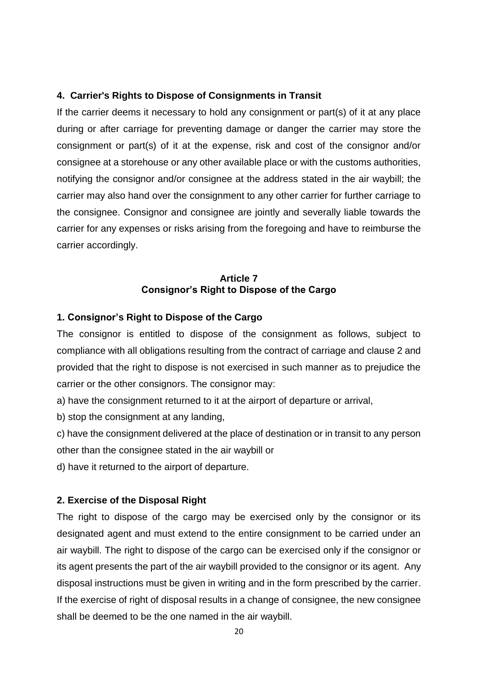#### **4. Carrier's Rights to Dispose of Consignments in Transit**

If the carrier deems it necessary to hold any consignment or part(s) of it at any place during or after carriage for preventing damage or danger the carrier may store the consignment or part(s) of it at the expense, risk and cost of the consignor and/or consignee at a storehouse or any other available place or with the customs authorities, notifying the consignor and/or consignee at the address stated in the air waybill; the carrier may also hand over the consignment to any other carrier for further carriage to the consignee. Consignor and consignee are jointly and severally liable towards the carrier for any expenses or risks arising from the foregoing and have to reimburse the carrier accordingly.

#### **Article 7 Consignor's Right to Dispose of the Cargo**

#### **1. Consignor's Right to Dispose of the Cargo**

The consignor is entitled to dispose of the consignment as follows, subject to compliance with all obligations resulting from the contract of carriage and clause 2 and provided that the right to dispose is not exercised in such manner as to prejudice the carrier or the other consignors. The consignor may:

a) have the consignment returned to it at the airport of departure or arrival,

b) stop the consignment at any landing,

c) have the consignment delivered at the place of destination or in transit to any person other than the consignee stated in the air waybill or

d) have it returned to the airport of departure.

#### **2. Exercise of the Disposal Right**

The right to dispose of the cargo may be exercised only by the consignor or its designated agent and must extend to the entire consignment to be carried under an air waybill. The right to dispose of the cargo can be exercised only if the consignor or its agent presents the part of the air waybill provided to the consignor or its agent. Any disposal instructions must be given in writing and in the form prescribed by the carrier. If the exercise of right of disposal results in a change of consignee, the new consignee shall be deemed to be the one named in the air waybill.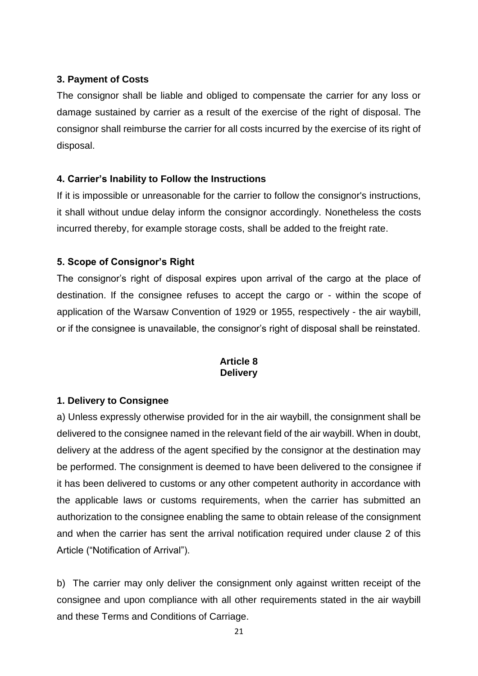# **3. Payment of Costs**

The consignor shall be liable and obliged to compensate the carrier for any loss or damage sustained by carrier as a result of the exercise of the right of disposal. The consignor shall reimburse the carrier for all costs incurred by the exercise of its right of disposal.

#### **4. Carrier's Inability to Follow the Instructions**

If it is impossible or unreasonable for the carrier to follow the consignor's instructions, it shall without undue delay inform the consignor accordingly. Nonetheless the costs incurred thereby, for example storage costs, shall be added to the freight rate.

# **5. Scope of Consignor's Right**

The consignor's right of disposal expires upon arrival of the cargo at the place of destination. If the consignee refuses to accept the cargo or - within the scope of application of the Warsaw Convention of 1929 or 1955, respectively - the air waybill, or if the consignee is unavailable, the consignor's right of disposal shall be reinstated.

#### **Article 8 Delivery**

# **1. Delivery to Consignee**

a) Unless expressly otherwise provided for in the air waybill, the consignment shall be delivered to the consignee named in the relevant field of the air waybill. When in doubt, delivery at the address of the agent specified by the consignor at the destination may be performed. The consignment is deemed to have been delivered to the consignee if it has been delivered to customs or any other competent authority in accordance with the applicable laws or customs requirements, when the carrier has submitted an authorization to the consignee enabling the same to obtain release of the consignment and when the carrier has sent the arrival notification required under clause 2 of this Article ("Notification of Arrival").

b) The carrier may only deliver the consignment only against written receipt of the consignee and upon compliance with all other requirements stated in the air waybill and these Terms and Conditions of Carriage.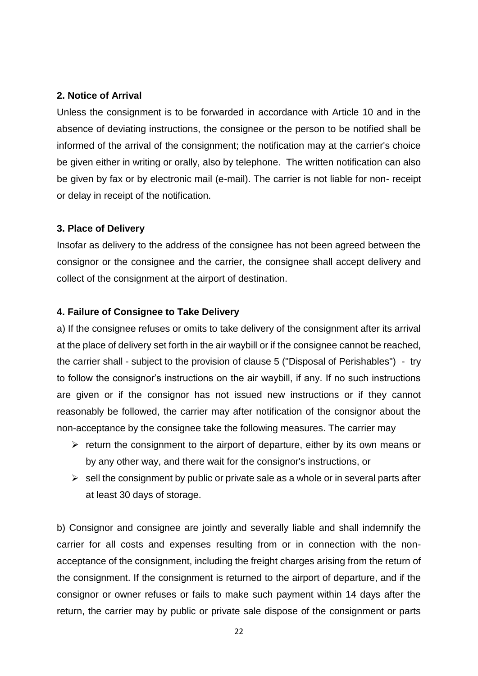#### **2. Notice of Arrival**

Unless the consignment is to be forwarded in accordance with Article 10 and in the absence of deviating instructions, the consignee or the person to be notified shall be informed of the arrival of the consignment; the notification may at the carrier's choice be given either in writing or orally, also by telephone. The written notification can also be given by fax or by electronic mail (e-mail). The carrier is not liable for non- receipt or delay in receipt of the notification.

#### **3. Place of Delivery**

Insofar as delivery to the address of the consignee has not been agreed between the consignor or the consignee and the carrier, the consignee shall accept delivery and collect of the consignment at the airport of destination.

#### **4. Failure of Consignee to Take Delivery**

a) If the consignee refuses or omits to take delivery of the consignment after its arrival at the place of delivery set forth in the air waybill or if the consignee cannot be reached, the carrier shall - subject to the provision of clause 5 ("Disposal of Perishables") - try to follow the consignor's instructions on the air waybill, if any. If no such instructions are given or if the consignor has not issued new instructions or if they cannot reasonably be followed, the carrier may after notification of the consignor about the non-acceptance by the consignee take the following measures. The carrier may

- $\triangleright$  return the consignment to the airport of departure, either by its own means or by any other way, and there wait for the consignor's instructions, or
- $\triangleright$  sell the consignment by public or private sale as a whole or in several parts after at least 30 days of storage.

b) Consignor and consignee are jointly and severally liable and shall indemnify the carrier for all costs and expenses resulting from or in connection with the nonacceptance of the consignment, including the freight charges arising from the return of the consignment. If the consignment is returned to the airport of departure, and if the consignor or owner refuses or fails to make such payment within 14 days after the return, the carrier may by public or private sale dispose of the consignment or parts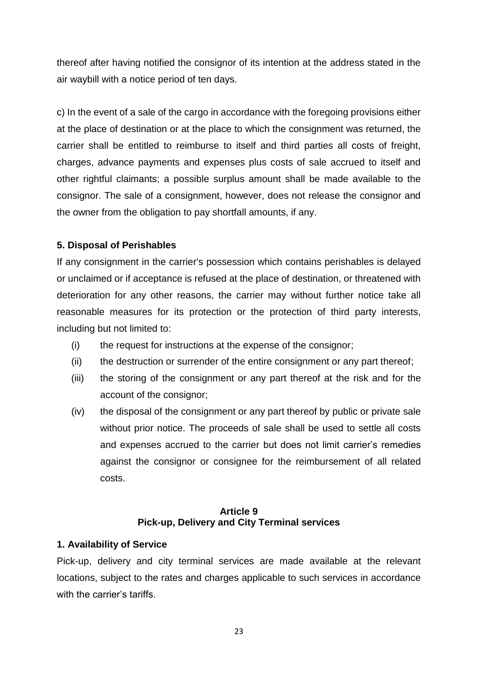thereof after having notified the consignor of its intention at the address stated in the air waybill with a notice period of ten days.

c) In the event of a sale of the cargo in accordance with the foregoing provisions either at the place of destination or at the place to which the consignment was returned, the carrier shall be entitled to reimburse to itself and third parties all costs of freight, charges, advance payments and expenses plus costs of sale accrued to itself and other rightful claimants; a possible surplus amount shall be made available to the consignor. The sale of a consignment, however, does not release the consignor and the owner from the obligation to pay shortfall amounts, if any.

#### **5. Disposal of Perishables**

If any consignment in the carrier's possession which contains perishables is delayed or unclaimed or if acceptance is refused at the place of destination, or threatened with deterioration for any other reasons, the carrier may without further notice take all reasonable measures for its protection or the protection of third party interests, including but not limited to:

- (i) the request for instructions at the expense of the consignor;
- (ii) the destruction or surrender of the entire consignment or any part thereof;
- (iii) the storing of the consignment or any part thereof at the risk and for the account of the consignor;
- (iv) the disposal of the consignment or any part thereof by public or private sale without prior notice. The proceeds of sale shall be used to settle all costs and expenses accrued to the carrier but does not limit carrier's remedies against the consignor or consignee for the reimbursement of all related costs.

#### **Article 9 Pick-up, Delivery and City Terminal services**

#### **1. Availability of Service**

Pick-up, delivery and city terminal services are made available at the relevant locations, subject to the rates and charges applicable to such services in accordance with the carrier's tariffs.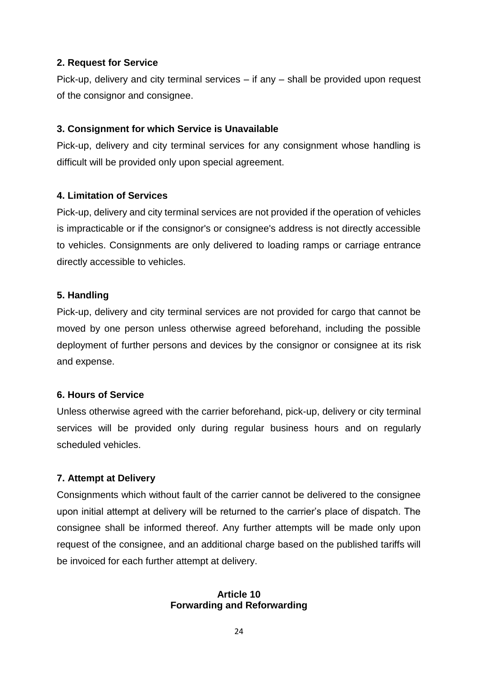# **2. Request for Service**

Pick-up, delivery and city terminal services – if any – shall be provided upon request of the consignor and consignee.

# **3. Consignment for which Service is Unavailable**

Pick-up, delivery and city terminal services for any consignment whose handling is difficult will be provided only upon special agreement.

#### **4. Limitation of Services**

Pick-up, delivery and city terminal services are not provided if the operation of vehicles is impracticable or if the consignor's or consignee's address is not directly accessible to vehicles. Consignments are only delivered to loading ramps or carriage entrance directly accessible to vehicles.

#### **5. Handling**

Pick-up, delivery and city terminal services are not provided for cargo that cannot be moved by one person unless otherwise agreed beforehand, including the possible deployment of further persons and devices by the consignor or consignee at its risk and expense.

#### **6. Hours of Service**

Unless otherwise agreed with the carrier beforehand, pick-up, delivery or city terminal services will be provided only during regular business hours and on regularly scheduled vehicles.

# **7. Attempt at Delivery**

Consignments which without fault of the carrier cannot be delivered to the consignee upon initial attempt at delivery will be returned to the carrier's place of dispatch. The consignee shall be informed thereof. Any further attempts will be made only upon request of the consignee, and an additional charge based on the published tariffs will be invoiced for each further attempt at delivery.

#### **Article 10 Forwarding and Reforwarding**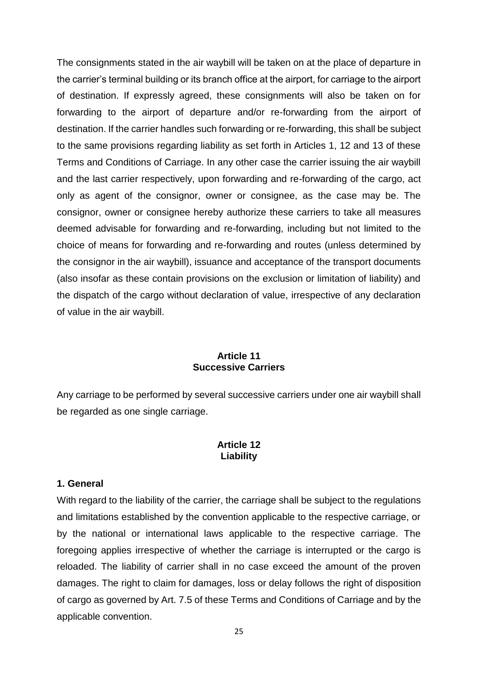The consignments stated in the air waybill will be taken on at the place of departure in the carrier's terminal building or its branch office at the airport, for carriage to the airport of destination. If expressly agreed, these consignments will also be taken on for forwarding to the airport of departure and/or re-forwarding from the airport of destination. If the carrier handles such forwarding or re-forwarding, this shall be subject to the same provisions regarding liability as set forth in Articles 1, 12 and 13 of these Terms and Conditions of Carriage. In any other case the carrier issuing the air waybill and the last carrier respectively, upon forwarding and re-forwarding of the cargo, act only as agent of the consignor, owner or consignee, as the case may be. The consignor, owner or consignee hereby authorize these carriers to take all measures deemed advisable for forwarding and re-forwarding, including but not limited to the choice of means for forwarding and re-forwarding and routes (unless determined by the consignor in the air waybill), issuance and acceptance of the transport documents (also insofar as these contain provisions on the exclusion or limitation of liability) and the dispatch of the cargo without declaration of value, irrespective of any declaration of value in the air waybill.

#### **Article 11 Successive Carriers**

Any carriage to be performed by several successive carriers under one air waybill shall be regarded as one single carriage.

#### **Article 12 Liability**

#### **1. General**

With regard to the liability of the carrier, the carriage shall be subject to the regulations and limitations established by the convention applicable to the respective carriage, or by the national or international laws applicable to the respective carriage. The foregoing applies irrespective of whether the carriage is interrupted or the cargo is reloaded. The liability of carrier shall in no case exceed the amount of the proven damages. The right to claim for damages, loss or delay follows the right of disposition of cargo as governed by Art. 7.5 of these Terms and Conditions of Carriage and by the applicable convention.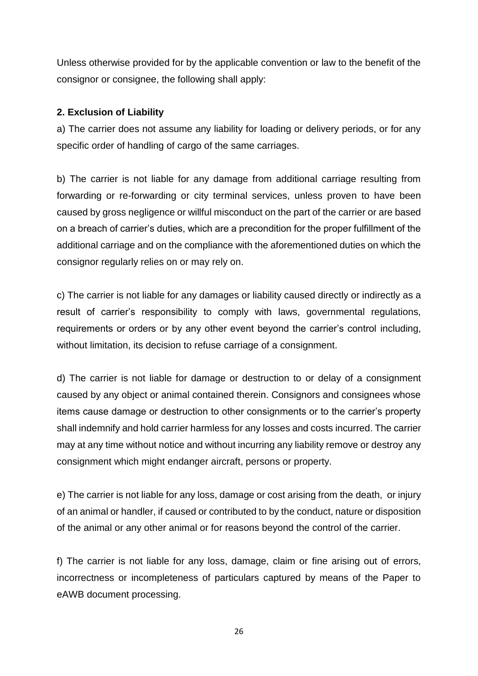Unless otherwise provided for by the applicable convention or law to the benefit of the consignor or consignee, the following shall apply:

# **2. Exclusion of Liability**

a) The carrier does not assume any liability for loading or delivery periods, or for any specific order of handling of cargo of the same carriages.

b) The carrier is not liable for any damage from additional carriage resulting from forwarding or re-forwarding or city terminal services, unless proven to have been caused by gross negligence or willful misconduct on the part of the carrier or are based on a breach of carrier's duties, which are a precondition for the proper fulfillment of the additional carriage and on the compliance with the aforementioned duties on which the consignor regularly relies on or may rely on.

c) The carrier is not liable for any damages or liability caused directly or indirectly as a result of carrier's responsibility to comply with laws, governmental regulations, requirements or orders or by any other event beyond the carrier's control including, without limitation, its decision to refuse carriage of a consignment.

d) The carrier is not liable for damage or destruction to or delay of a consignment caused by any object or animal contained therein. Consignors and consignees whose items cause damage or destruction to other consignments or to the carrier's property shall indemnify and hold carrier harmless for any losses and costs incurred. The carrier may at any time without notice and without incurring any liability remove or destroy any consignment which might endanger aircraft, persons or property.

e) The carrier is not liable for any loss, damage or cost arising from the death, or injury of an animal or handler, if caused or contributed to by the conduct, nature or disposition of the animal or any other animal or for reasons beyond the control of the carrier.

f) The carrier is not liable for any loss, damage, claim or fine arising out of errors, incorrectness or incompleteness of particulars captured by means of the Paper to eAWB document processing.

26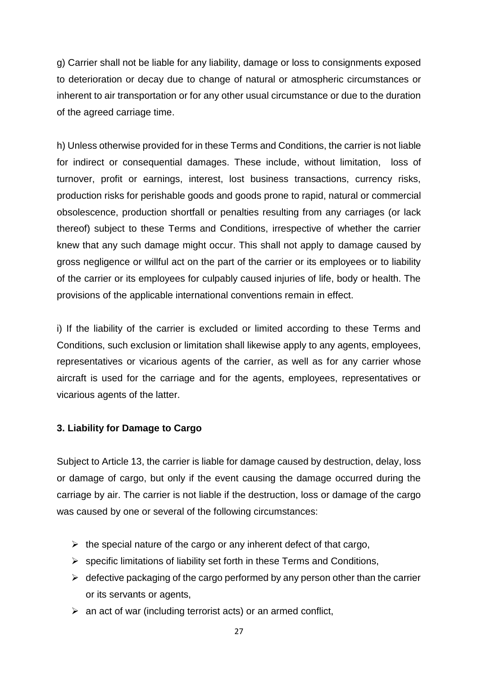g) Carrier shall not be liable for any liability, damage or loss to consignments exposed to deterioration or decay due to change of natural or atmospheric circumstances or inherent to air transportation or for any other usual circumstance or due to the duration of the agreed carriage time.

h) Unless otherwise provided for in these Terms and Conditions, the carrier is not liable for indirect or consequential damages. These include, without limitation, loss of turnover, profit or earnings, interest, lost business transactions, currency risks, production risks for perishable goods and goods prone to rapid, natural or commercial obsolescence, production shortfall or penalties resulting from any carriages (or lack thereof) subject to these Terms and Conditions, irrespective of whether the carrier knew that any such damage might occur. This shall not apply to damage caused by gross negligence or willful act on the part of the carrier or its employees or to liability of the carrier or its employees for culpably caused injuries of life, body or health. The provisions of the applicable international conventions remain in effect.

i) If the liability of the carrier is excluded or limited according to these Terms and Conditions, such exclusion or limitation shall likewise apply to any agents, employees, representatives or vicarious agents of the carrier, as well as for any carrier whose aircraft is used for the carriage and for the agents, employees, representatives or vicarious agents of the latter.

# **3. Liability for Damage to Cargo**

Subject to Article 13, the carrier is liable for damage caused by destruction, delay, loss or damage of cargo, but only if the event causing the damage occurred during the carriage by air. The carrier is not liable if the destruction, loss or damage of the cargo was caused by one or several of the following circumstances:

- $\triangleright$  the special nature of the cargo or any inherent defect of that cargo,
- $\triangleright$  specific limitations of liability set forth in these Terms and Conditions,
- $\triangleright$  defective packaging of the cargo performed by any person other than the carrier or its servants or agents,
- $\triangleright$  an act of war (including terrorist acts) or an armed conflict,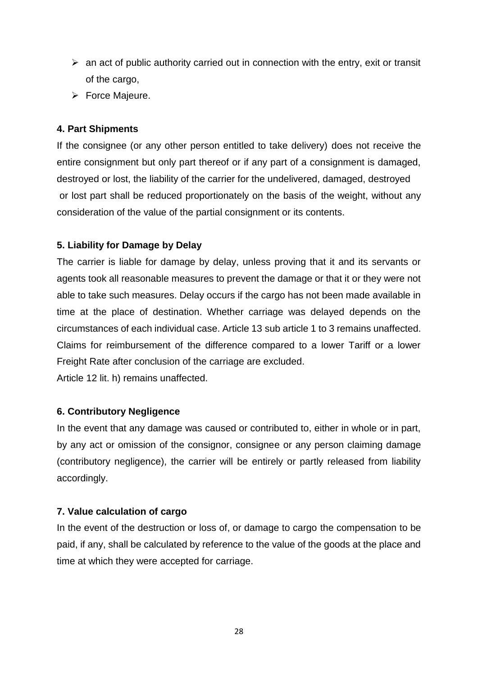- $\triangleright$  an act of public authority carried out in connection with the entry, exit or transit of the cargo,
- > Force Majeure.

# **4. Part Shipments**

If the consignee (or any other person entitled to take delivery) does not receive the entire consignment but only part thereof or if any part of a consignment is damaged, destroyed or lost, the liability of the carrier for the undelivered, damaged, destroyed or lost part shall be reduced proportionately on the basis of the weight, without any consideration of the value of the partial consignment or its contents.

# **5. Liability for Damage by Delay**

The carrier is liable for damage by delay, unless proving that it and its servants or agents took all reasonable measures to prevent the damage or that it or they were not able to take such measures. Delay occurs if the cargo has not been made available in time at the place of destination. Whether carriage was delayed depends on the circumstances of each individual case. Article 13 sub article 1 to 3 remains unaffected. Claims for reimbursement of the difference compared to a lower Tariff or a lower Freight Rate after conclusion of the carriage are excluded.

Article 12 lit. h) remains unaffected.

# **6. Contributory Negligence**

In the event that any damage was caused or contributed to, either in whole or in part, by any act or omission of the consignor, consignee or any person claiming damage (contributory negligence), the carrier will be entirely or partly released from liability accordingly.

# **7. Value calculation of cargo**

In the event of the destruction or loss of, or damage to cargo the compensation to be paid, if any, shall be calculated by reference to the value of the goods at the place and time at which they were accepted for carriage.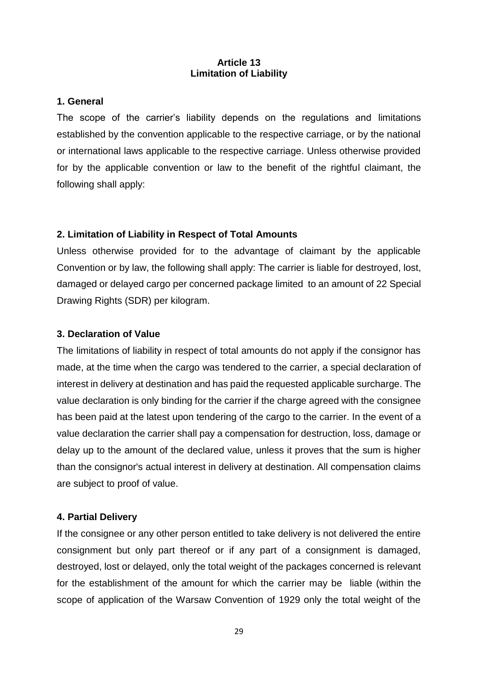# **Article 13 Limitation of Liability**

#### **1. General**

The scope of the carrier's liability depends on the regulations and limitations established by the convention applicable to the respective carriage, or by the national or international laws applicable to the respective carriage. Unless otherwise provided for by the applicable convention or law to the benefit of the rightful claimant, the following shall apply:

# **2. Limitation of Liability in Respect of Total Amounts**

Unless otherwise provided for to the advantage of claimant by the applicable Convention or by law, the following shall apply: The carrier is liable for destroyed, lost, damaged or delayed cargo per concerned package limited to an amount of 22 Special Drawing Rights (SDR) per kilogram.

# **3. Declaration of Value**

The limitations of liability in respect of total amounts do not apply if the consignor has made, at the time when the cargo was tendered to the carrier, a special declaration of interest in delivery at destination and has paid the requested applicable surcharge. The value declaration is only binding for the carrier if the charge agreed with the consignee has been paid at the latest upon tendering of the cargo to the carrier. In the event of a value declaration the carrier shall pay a compensation for destruction, loss, damage or delay up to the amount of the declared value, unless it proves that the sum is higher than the consignor's actual interest in delivery at destination. All compensation claims are subject to proof of value.

# **4. Partial Delivery**

If the consignee or any other person entitled to take delivery is not delivered the entire consignment but only part thereof or if any part of a consignment is damaged, destroyed, lost or delayed, only the total weight of the packages concerned is relevant for the establishment of the amount for which the carrier may be liable (within the scope of application of the Warsaw Convention of 1929 only the total weight of the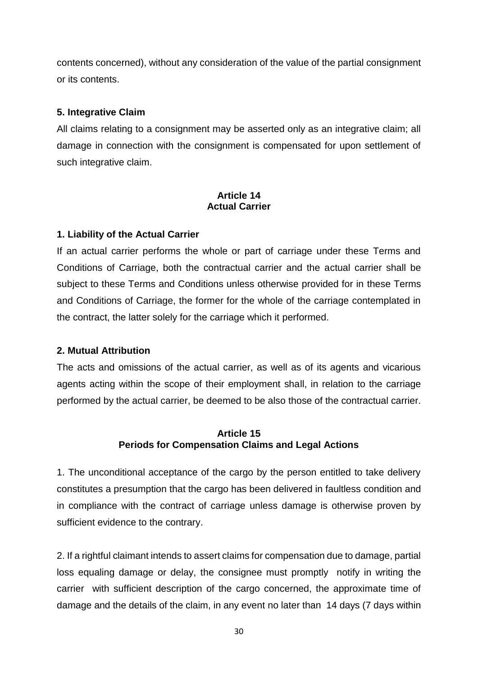contents concerned), without any consideration of the value of the partial consignment or its contents.

#### **5. Integrative Claim**

All claims relating to a consignment may be asserted only as an integrative claim; all damage in connection with the consignment is compensated for upon settlement of such integrative claim.

# **Article 14 Actual Carrier**

#### **1. Liability of the Actual Carrier**

If an actual carrier performs the whole or part of carriage under these Terms and Conditions of Carriage, both the contractual carrier and the actual carrier shall be subject to these Terms and Conditions unless otherwise provided for in these Terms and Conditions of Carriage, the former for the whole of the carriage contemplated in the contract, the latter solely for the carriage which it performed.

#### **2. Mutual Attribution**

The acts and omissions of the actual carrier, as well as of its agents and vicarious agents acting within the scope of their employment shall, in relation to the carriage performed by the actual carrier, be deemed to be also those of the contractual carrier.

# **Article 15 Periods for Compensation Claims and Legal Actions**

1. The unconditional acceptance of the cargo by the person entitled to take delivery constitutes a presumption that the cargo has been delivered in faultless condition and in compliance with the contract of carriage unless damage is otherwise proven by sufficient evidence to the contrary.

2. If a rightful claimant intends to assert claims for compensation due to damage, partial loss equaling damage or delay, the consignee must promptly notify in writing the carrier with sufficient description of the cargo concerned, the approximate time of damage and the details of the claim, in any event no later than 14 days (7 days within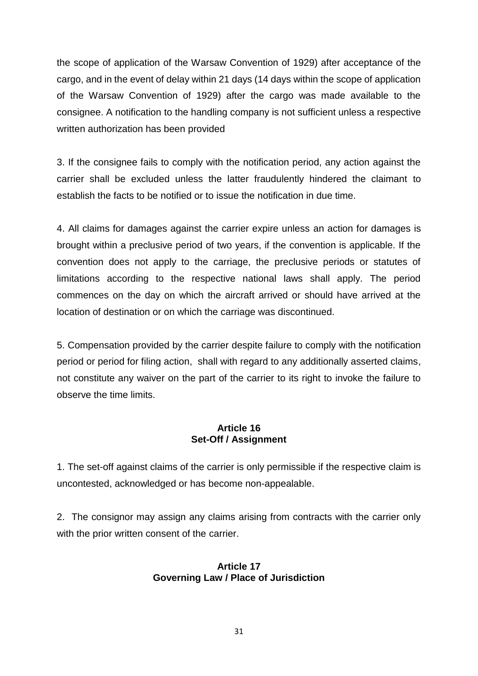the scope of application of the Warsaw Convention of 1929) after acceptance of the cargo, and in the event of delay within 21 days (14 days within the scope of application of the Warsaw Convention of 1929) after the cargo was made available to the consignee. A notification to the handling company is not sufficient unless a respective written authorization has been provided

3. If the consignee fails to comply with the notification period, any action against the carrier shall be excluded unless the latter fraudulently hindered the claimant to establish the facts to be notified or to issue the notification in due time.

4. All claims for damages against the carrier expire unless an action for damages is brought within a preclusive period of two years, if the convention is applicable. If the convention does not apply to the carriage, the preclusive periods or statutes of limitations according to the respective national laws shall apply. The period commences on the day on which the aircraft arrived or should have arrived at the location of destination or on which the carriage was discontinued.

5. Compensation provided by the carrier despite failure to comply with the notification period or period for filing action, shall with regard to any additionally asserted claims, not constitute any waiver on the part of the carrier to its right to invoke the failure to observe the time limits.

#### **Article 16 Set-Off / Assignment**

1. The set-off against claims of the carrier is only permissible if the respective claim is uncontested, acknowledged or has become non-appealable.

2. The consignor may assign any claims arising from contracts with the carrier only with the prior written consent of the carrier.

#### **Article 17 Governing Law / Place of Jurisdiction**